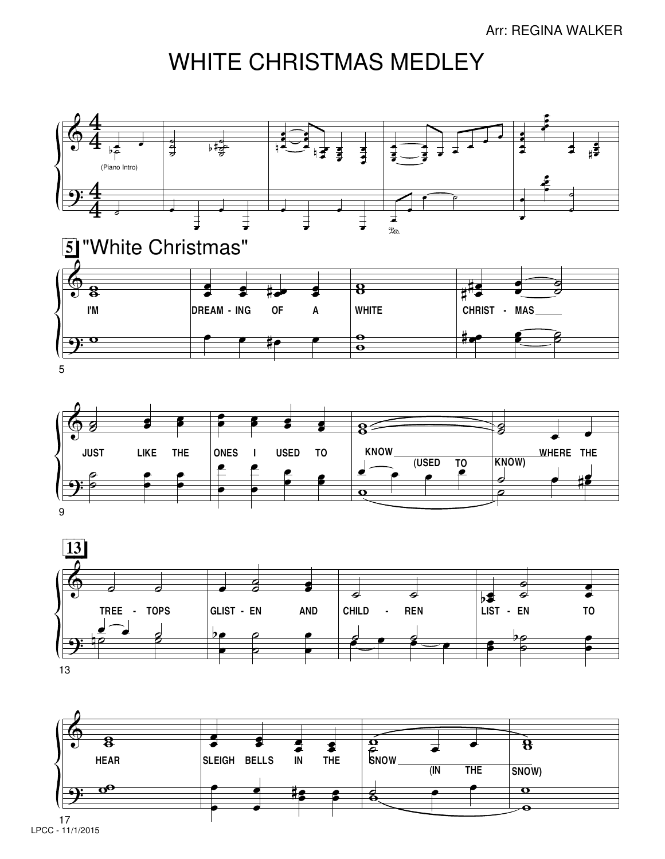## WHITE CHRISTMAS MEDLEY









LPCC - 11/1/2015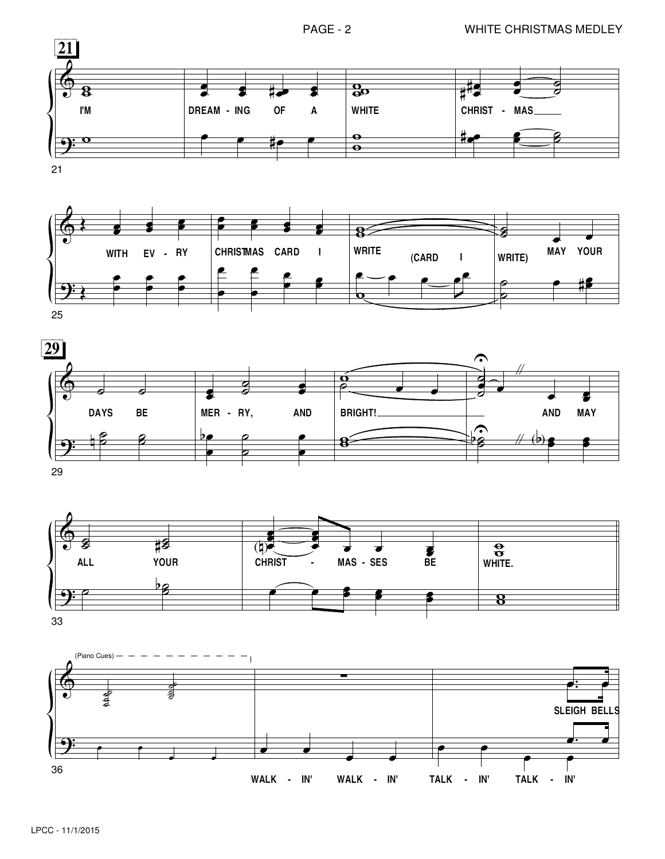







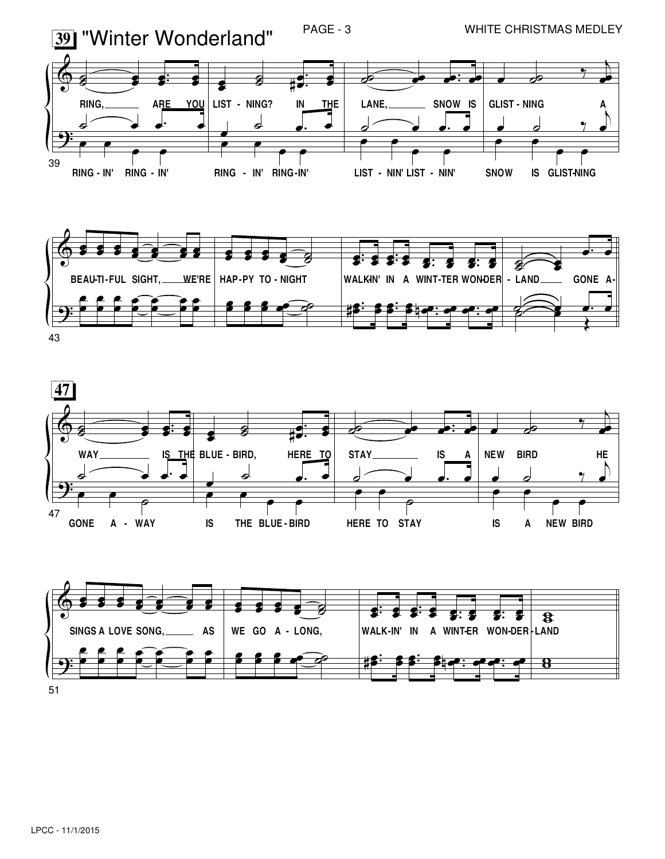



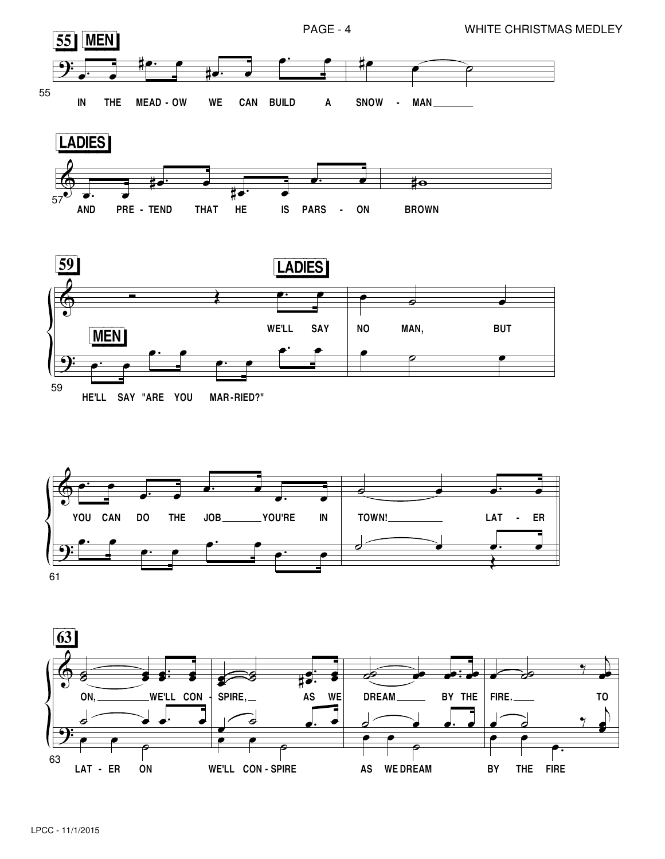









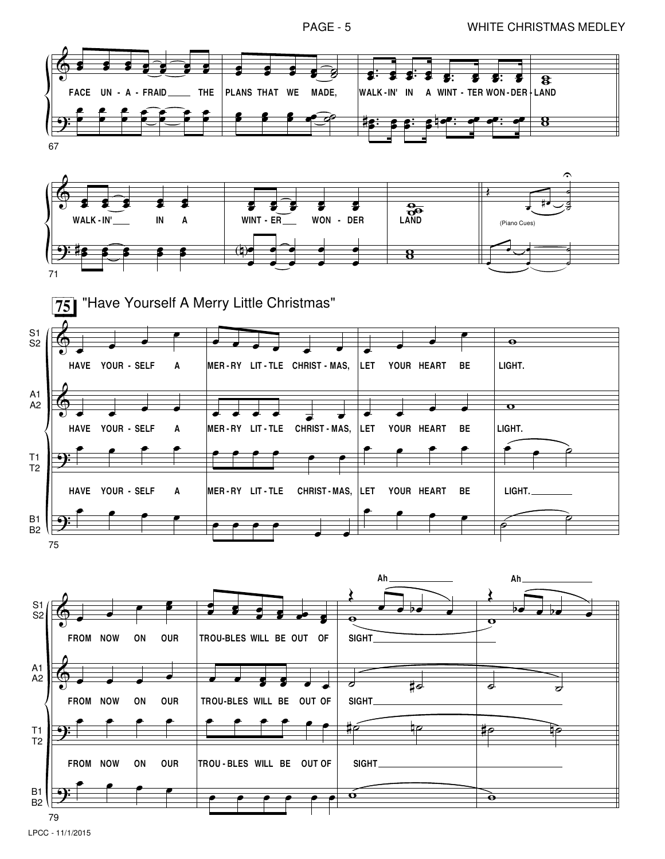

LPCC - 11/1/2015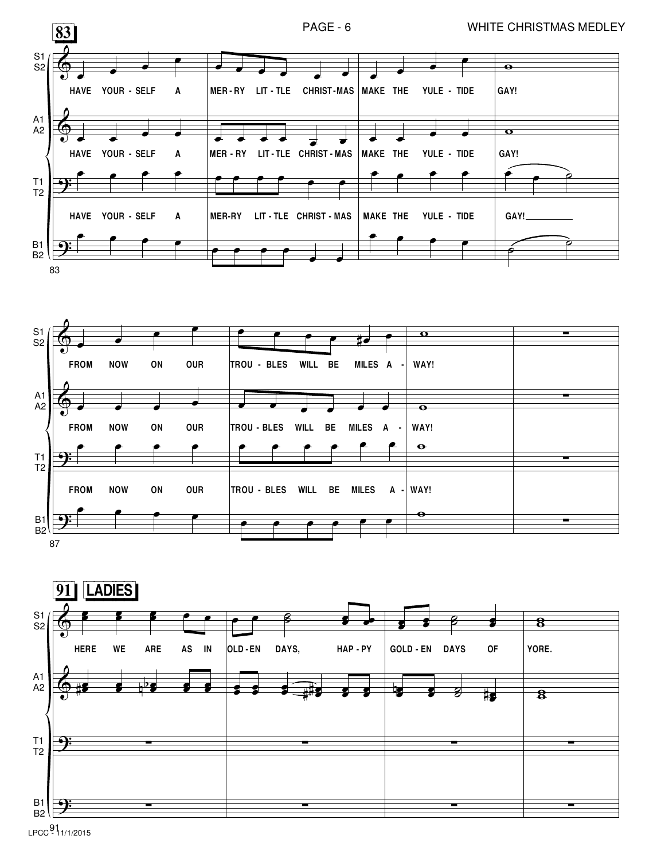





LPCC<sup>91</sup>1/1/2015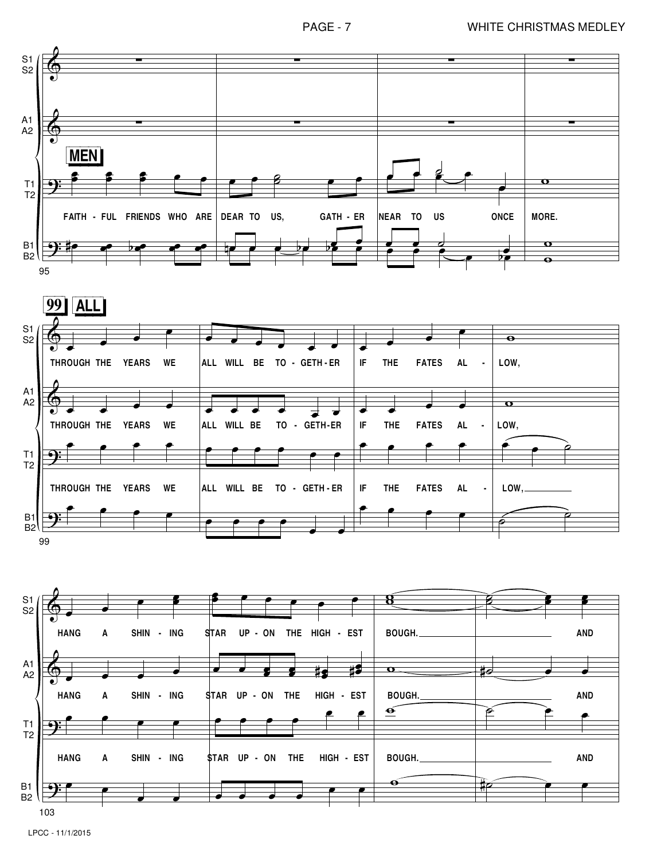

LPCC - 11/1/2015